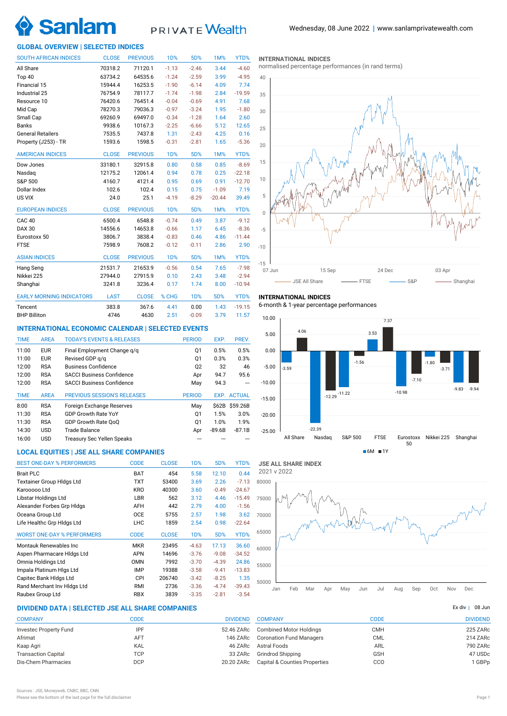

# PRIVATE Wealth

# **GLOBAL OVERVIEW | SELECTED INDICES**

| <b>SOUTH AFRICAN INDICES</b>    | <b>CLOSE</b> | <b>PREVIOUS</b> | 1D%        | 5D%              | 1M%      | YTD%     |
|---------------------------------|--------------|-----------------|------------|------------------|----------|----------|
| All Share                       | 70318.2      | 71120.1         | $-1.13$    | $-2.46$          | 3.44     | $-4.60$  |
| Top 40                          | 63734.2      | 64535.6         | $-1.24$    | $-2.59$          | 3.99     | $-4.95$  |
| Financial 15                    | 15944.4      | 16253.5         | $-1.90$    | $-6.14$          | 4.09     | 7.74     |
| Industrial 25                   | 76754.9      | 78117.7         | $-1.74$    | $-1.98$          | 2.84     | $-19.59$ |
| Resource 10                     | 76420.6      | 76451.4         | $-0.04$    | $-0.69$          | 4.91     | 7.68     |
| Mid Cap                         | 78270.3      | 79036.3         | $-0.97$    | $-3.24$          | 1.95     | $-1.80$  |
| Small Cap                       | 69260.9      | 69497.0         | $-0.34$    | $-1.28$          | 1.64     | 2.60     |
| <b>Banks</b>                    | 9938.6       | 10167.3         | $-2.25$    | $-6.66$          | 5.12     | 12.65    |
| <b>General Retailers</b>        | 7535.5       | 7437.8          | 1.31       | $-2.43$          | 4.25     | 0.16     |
| Property (J253) - TR            | 1593.6       | 1598.5          | $-0.31$    | $-2.81$          | 1.65     | $-5.36$  |
| <b>AMERICAN INDICES</b>         | <b>CLOSE</b> | <b>PREVIOUS</b> | <b>1D%</b> | 5D%              | 1M%      | YTD%     |
| Dow Jones                       | 33180.1      | 32915.8         | 0.80       | 0.58             | 0.85     | $-8.69$  |
| Nasdaq                          | 12175.2      | 12061.4         | 0.94       | 0.78             | 0.25     | $-22.18$ |
| S&P 500                         | 4160.7       | 4121.4          | 0.95       | 0.69             | 0.91     | $-12.70$ |
| Dollar Index                    | 102.6        | 102.4           | 0.15       | 0.75             | $-1.09$  | 7.19     |
| US VIX                          | 24.0         | 25.1            | $-4.19$    | $-8.29$          | $-20.44$ | 39.49    |
| <b>EUROPEAN INDICES</b>         | <b>CLOSE</b> | <b>PREVIOUS</b> | <b>1D%</b> | 5D%              | 1M%      | YTD%     |
| <b>CAC 40</b>                   | 6500.4       | 6548.8          | $-0.74$    | 0.49             | 3.87     | $-9.12$  |
| <b>DAX 30</b>                   | 14556.6      | 14653.8         | $-0.66$    | 1.17             | 6.45     | $-8.36$  |
| Eurostoxx 50                    | 3806.7       | 3838.4          | $-0.83$    | 0.46             | 4.86     | $-11.44$ |
| <b>FTSE</b>                     | 7598.9       | 7608.2          | $-0.12$    | $-0.11$          | 2.86     | 2.90     |
| <b>ASIAN INDICES</b>            | <b>CLOSE</b> | <b>PREVIOUS</b> | <b>1D%</b> | 5D%              | 1M%      | YTD%     |
| Hang Seng                       | 21531.7      | 21653.9         | $-0.56$    | 0.54             | 7.65     | $-7.98$  |
| Nikkei 225                      | 27944.0      | 27915.9         | 0.10       | 2.43             | 3.48     | $-2.94$  |
| Shanghai                        | 3241.8       | 3236.4          | 0.17       | 1.74             | 8.00     | $-10.94$ |
| <b>EARLY MORNING INDICATORS</b> | <b>LAST</b>  | <b>CLOSE</b>    | % CHG      | 1 <sub>D</sub> % | 5D%      | YTD%     |
| Tencent                         | 383.8        | 367.6           | 4.41       | 0.00             | 1.43     | $-19.15$ |
| <b>BHP Billiton</b>             | 4746         | 4630            | 2.51       | $-0.09$          | 3.79     | 11.57    |

### **INTERNATIONAL ECONOMIC CALENDAR | SELECTED EVENTS**

| <b>TIME</b> | <b>AREA</b> | <b>TODAY'S EVENTS &amp; RELEASES</b> | <b>PERIOD</b>  | EXP.     | PREV.              |
|-------------|-------------|--------------------------------------|----------------|----------|--------------------|
| 11:00       | <b>EUR</b>  | Final Employment Change g/g          | Q1             | 0.5%     | 0.5%               |
| 11:00       | <b>EUR</b>  | Revised GDP q/q                      | Q1             | 0.3%     | 0.3%               |
| 12:00       | <b>RSA</b>  | <b>Business Confidence</b>           | Q <sub>2</sub> | 32       | 46                 |
| 12:00       | <b>RSA</b>  | <b>SACCI Business Confidence</b>     | Apr            | 94.7     | 95.6               |
| 12:00       | <b>RSA</b>  | <b>SACCI Business Confidence</b>     | May            | 94.3     |                    |
|             |             |                                      |                |          |                    |
| <b>TIME</b> | <b>AREA</b> | <b>PREVIOUS SESSION'S RELEASES</b>   | <b>PERIOD</b>  |          | <b>EXP. ACTUAL</b> |
| 8:00        | <b>RSA</b>  | Foreign Exchange Reserves            | May            |          | \$62B \$59.26B     |
| 11:30       | <b>RSA</b>  | <b>GDP Growth Rate YoY</b>           | Q1             | 1.5%     | 3.0%               |
| 11:30       | <b>RSA</b>  | GDP Growth Rate OoO                  | Q1             | 1.0%     | 1.9%               |
| 14:30       | <b>USD</b>  | Trade Balance                        | Apr            | $-89.6B$ | $-87.1B$           |

# **LOCAL EQUITIES | JSE ALL SHARE COMPANIES**

| <b>BEST ONE-DAY % PERFORMERS</b>  | <b>CODE</b> | <b>CLOSE</b> | 1 <sub>D</sub> % | 5D%     | YTD%     |
|-----------------------------------|-------------|--------------|------------------|---------|----------|
| <b>Brait PLC</b>                  | <b>BAT</b>  | 454          | 5.58             | 12.10   | 0.44     |
| <b>Textainer Group Hidgs Ltd</b>  | <b>TXT</b>  | 53400        | 3.69             | 2.26    | $-7.13$  |
| Karooooo Ltd                      | <b>KRO</b>  | 40300        | 3.60             | $-0.49$ | $-24.67$ |
| Libstar Holdings Ltd              | LBR         | 562          | 3.12             | 4.46    | $-15.49$ |
| Alexander Forbes Grp Hidgs        | AFH         | 442          | 2.79             | 4.00    | $-1.56$  |
| Oceana Group Ltd                  | <b>OCE</b>  | 5755         | 2.57             | 1.98    | 3.62     |
| Life Healthc Grp Hidgs Ltd        | LHC         | 1859         | 2.54             | 0.98    | $-22.64$ |
| <b>WORST ONE-DAY % PERFORMERS</b> | <b>CODE</b> | <b>CLOSE</b> | 1 <sub>D</sub> % | 5D%     | YTD%     |
| Montauk Renewables Inc            | <b>MKR</b>  | 23495        | $-4.63$          | 17.13   | 36.60    |
| Aspen Pharmacare Hidgs Ltd        | <b>APN</b>  | 14696        | $-3.76$          | $-9.08$ | $-34.52$ |
| Omnia Holdings Ltd                | <b>OMN</b>  | 7992         | $-3.70$          | $-4.39$ | 24.86    |
| Impala Platinum Hlgs Ltd          | <b>IMP</b>  | 19388        | $-3.58$          | $-9.41$ | $-13.83$ |
| Capitec Bank HIdgs Ltd            | <b>CPI</b>  | 206740       | $-3.42$          | $-8.25$ | 1.35     |
| Rand Merchant Inv Hldgs Ltd       | RMI         | 2736         | $-3.36$          | $-4.74$ | $-39.43$ |
| Raubex Group Ltd                  | <b>RBX</b>  | 3839         | $-3.35$          | $-2.81$ | $-3.54$  |

#### **INTERNATIONAL INDICES**

normalised percentage performances (in rand terms)



#### **INTERNATIONAL INDICES**

6-month & 1-year percentage performances





# **DIVIDEND DATA | SELECTED JSE ALL SHARE COMPANIES |**

| <b>COMPANY</b>             | CODE       | <b>DIVIDEND</b> |
|----------------------------|------------|-----------------|
| Investec Property Fund     | IPF        | 52.46 ZARc      |
| Afrimat                    | AFT        | 146 ZARc        |
| Kaap Agri                  | <b>KAL</b> | 46 ZARc         |
| <b>Transaction Capital</b> | <b>TCP</b> | 33 ZARc         |
| Dis-Chem Pharmacies        | <b>DCP</b> | 20.20 ZARc      |
|                            |            |                 |

| <b>COMPANY</b>                  | CODE       | <b>DIVIDEND</b> |
|---------------------------------|------------|-----------------|
| <b>Combined Motor Holdings</b>  | <b>CMH</b> | 225 ZARc        |
| <b>Coronation Fund Managers</b> | <b>CML</b> | 214 ZARc        |
| <b>Astral Foods</b>             | ARL        | 790 ZARc        |
| Grindrod Shipping               | <b>GSH</b> | 47 USDc         |
| Capital & Counties Properties   | CCO        | 1 GBPp          |
|                                 |            |                 |

Ex div  $1$  08 Jun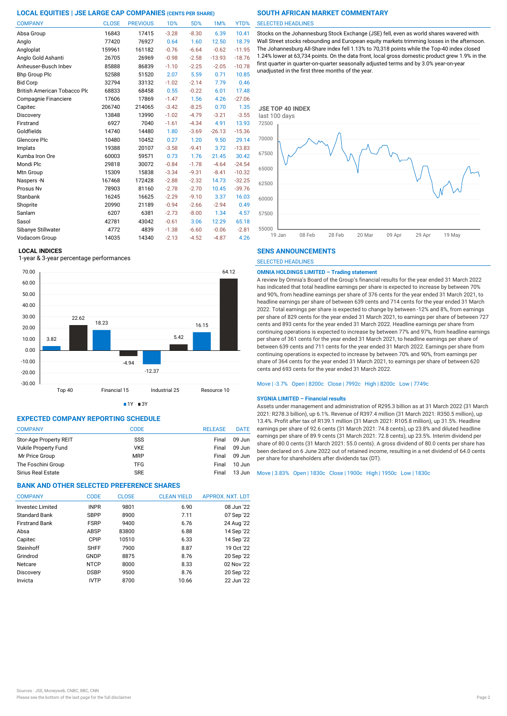| <b>COMPANY</b>               | <b>CLOSE</b> | <b>PREVIOUS</b> | 1D%     | 5D%     | 1M%      | YTD%     |
|------------------------------|--------------|-----------------|---------|---------|----------|----------|
| Absa Group                   | 16843        | 17415           | $-3.28$ | $-8.30$ | 6.39     | 10.41    |
| Anglo                        | 77420        | 76927           | 0.64    | 1.60    | 12.50    | 18.79    |
| Angloplat                    | 159961       | 161182          | $-0.76$ | $-6.64$ | $-0.62$  | $-11.95$ |
| Anglo Gold Ashanti           | 26705        | 26969           | $-0.98$ | $-2.58$ | $-13.93$ | $-18.76$ |
| Anheuser-Busch Inbev         | 85888        | 86839           | $-1.10$ | $-2.25$ | $-2.05$  | $-10.78$ |
| <b>Bhp Group Plc</b>         | 52588        | 51520           | 2.07    | 5.59    | 0.71     | 10.85    |
| <b>Bid Corp</b>              | 32794        | 33132           | $-1.02$ | $-2.14$ | 7.79     | 0.46     |
| British American Tobacco Plo | 68833        | 68458           | 0.55    | $-0.22$ | 6.01     | 17.48    |
| Compagnie Financiere         | 17606        | 17869           | $-1.47$ | 1.56    | 4.26     | $-27.06$ |
| Capitec                      | 206740       | 214065          | $-3.42$ | $-8.25$ | 0.70     | 1.35     |
| Discovery                    | 13848        | 13990           | $-1.02$ | $-4.79$ | $-3.21$  | $-3.55$  |
| Firstrand                    | 6927         | 7040            | $-1.61$ | $-4.34$ | 4.91     | 13.93    |
| Goldfields                   | 14740        | 14480           | 1.80    | $-3.69$ | $-26.13$ | $-15.36$ |
| Glencore Plc                 | 10480        | 10452           | 0.27    | 1.20    | 9.50     | 29.14    |
| Implats                      | 19388        | 20107           | $-3.58$ | $-9.41$ | 3.72     | $-13.83$ |
| Kumba Iron Ore               | 60003        | 59571           | 0.73    | 1.76    | 21.45    | 30.42    |
| Mondi Plc                    | 29818        | 30072           | $-0.84$ | $-1.78$ | $-4.64$  | $-24.54$ |
| Mtn Group                    | 15309        | 15838           | $-3.34$ | $-9.31$ | $-8.41$  | $-10.32$ |
| Naspers -N                   | 167468       | 172428          | $-2.88$ | $-2.32$ | 14.73    | $-32.25$ |
| Prosus Nv                    | 78903        | 81160           | $-2.78$ | $-2.70$ | 10.45    | $-39.76$ |
| Stanbank                     | 16245        | 16625           | $-2.29$ | $-9.10$ | 3.37     | 16.03    |
| Shoprite                     | 20990        | 21189           | $-0.94$ | $-2.66$ | $-2.94$  | 0.49     |
| Sanlam                       | 6207         | 6381            | $-2.73$ | $-8.00$ | 1.34     | 4.57     |
| Sasol                        | 42781        | 43042           | $-0.61$ | 3.06    | 12.29    | 65.18    |
| Sibanye Stillwater           | 4772         | 4839            | $-1.38$ | $-6.60$ | $-0.06$  | $-2.81$  |
| Vodacom Group                | 14035        | 14340           | $-2.13$ | $-4.52$ | $-4.87$  | 4.26     |

#### **LOCAL INDICES**

1-year & 3-year percentage performances



 $1Y = 3Y$ 

# **EXPECTED COMPANY REPORTING SCHEDULE**

| <b>COMPANY</b>              | CODE       | <b>RELEASE</b> | <b>DATE</b> |
|-----------------------------|------------|----------------|-------------|
| Stor-Age Property REIT      | SSS        | Final          | 09 Jun      |
| <b>Vukile Property Fund</b> | <b>VKE</b> | Final          | 09 Jun      |
| Mr Price Group              | <b>MRP</b> | Final          | $09$ Jun    |
| The Foschini Group          | <b>TFG</b> | Final          | $10$ Jun    |
| <b>Sirius Real Estate</b>   | <b>SRE</b> | Final          | 13 Jun      |

# **BANK AND OTHER SELECTED PREFERENCE SHARES**

| <b>COMPANY</b>        | <b>CODE</b> | <b>CLOSE</b> | <b>CLEAN YIELD</b> | APPROX. NXT. LDT |
|-----------------------|-------------|--------------|--------------------|------------------|
| Invested Limited      | <b>INPR</b> | 9801         | 6.90               | 08 Jun '22       |
| <b>Standard Bank</b>  | <b>SBPP</b> | 8900         | 7.11               | 07 Sep '22       |
| <b>Firstrand Bank</b> | <b>FSRP</b> | 9400         | 6.76               | 24 Aug '22       |
| Absa                  | <b>ABSP</b> | 83800        | 6.88               | 14 Sep '22       |
| Capitec               | CPIP        | 10510        | 6.33               | 14 Sep '22       |
| Steinhoff             | <b>SHFF</b> | 7900         | 8.87               | 19 Oct '22       |
| Grindrod              | GNDP        | 8875         | 8.76               | 20 Sep '22       |
| Netcare               | <b>NTCP</b> | 8000         | 8.33               | 02 Nov '22       |
| Discovery             | <b>DSBP</b> | 9500         | 8.76               | 20 Sep '22       |
| Invicta               | <b>IVTP</b> | 8700         | 10.66              | 22 Jun '22       |

#### SELECTED HEADLINES

Stocks on the Johannesburg Stock Exchange (JSE) fell, even as world shares wavered with Wall Street stocks rebounding and European equity markets trimming losses in the afternoon. The Johannesburg All-Share index fell 1.13% to 70,318 points while the Top-40 index closed 1.24% lower at 63,734 points. On the data front, local gross domestic product grew 1.9% in the first quarter in quarter-on-quarter seasonally adjusted terms and by 3.0% year-on-year unadjusted in the first three months of the year.



### **SENS ANNOUNCEMENTS**

SELECTED HEADLINES

### **OMNIA HOLDINGS LIMITED – Trading statement**

A review by Omnia's Board of the Group's financial results for the year ended 31 March 2022 has indicated that total headline earnings per share is expected to increase by between 70% and 90%, from headline earnings per share of 376 cents for the year ended 31 March 2021, to headline earnings per share of between 639 cents and 714 cents for the year ended 31 March 2022. Total earnings per share is expected to change by between -12% and 8%, from earnings per share of 829 cents for the year ended 31 March 2021, to earnings per share of between 727 cents and 893 cents for the year ended 31 March 2022. Headline earnings per share from continuing operations is expected to increase by between 77% and 97%, from headline earnings per share of 361 cents for the year ended 31 March 2021, to headline earnings per share of between 639 cents and 711 cents for the year ended 31 March 2022. Earnings per share from continuing operations is expected to increase by between 70% and 90%, from earnings per share of 364 cents for the year ended 31 March 2021, to earnings per share of between 620 cents and 693 cents for the year ended 31 March 2022.

#### Move | -3.7% Open | 8200c Close | 7992c High | 8200c Low | 7749c

#### **SYGNIA LIMITED – Financial results**

Assets under management and administration of R295.3 billion as at 31 March 2022 (31 March 2021: R278.3 billion), up 6.1%. Revenue of R397.4 million (31 March 2021: R350.5 million), up 13.4%. Profit after tax of R139.1 million (31 March 2021: R105.8 million), up 31.5%. Headline earnings per share of 92.6 cents (31 March 2021: 74.8 cents), up 23.8% and diluted headline earnings per share of 89.9 cents (31 March 2021: 72.8 cents), up 23.5%. Interim dividend per share of 80.0 cents (31 March 2021: 55.0 cents). A gross dividend of 80.0 cents per share has been declared on 6 June 2022 out of retained income, resulting in a net dividend of 64.0 cents per share for shareholders after dividends tax (DT).

#### Move | 3.83% Open | 1830c Close | 1900c High | 1950c Low | 1830c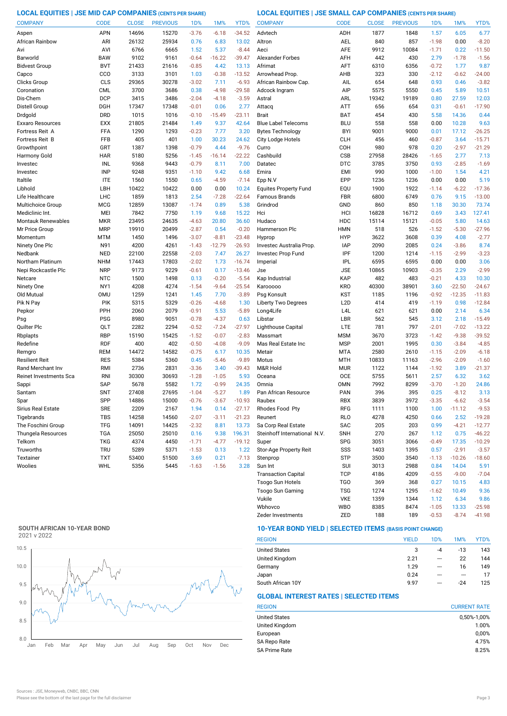**LOCAL EQUITIES | JSE MID CAP COMPANIES (CENTS PER SHARE) LOCAL EQUITIES | JSE SMALL CAP COMPANIES (CENTS PER SHARE)**

| <b>COMPANY</b>            | <b>CODE</b> | <b>CLOSE</b> | <b>PREVIOUS</b> | 1 <sub>D</sub> % | 1M%      | YTD%     | <b>COMPANY</b>               | <b>CODE</b>      | <b>CLOSE</b> | <b>PREVIOUS</b> | 1D%     | 1M%      | YTD%     |
|---------------------------|-------------|--------------|-----------------|------------------|----------|----------|------------------------------|------------------|--------------|-----------------|---------|----------|----------|
| Aspen                     | APN         | 14696        | 15270           | $-3.76$          | $-6.18$  | $-34.52$ | Advtech                      | ADH              | 1877         | 1848            | 1.57    | 6.05     | 6.77     |
| African Rainbow           | ARI         | 26132        | 25934           | 0.76             | 6.83     | 13.02    | Altron                       | AEL              | 840          | 857             | $-1.98$ | 0.00     | $-8.20$  |
| Avi                       | AVI         | 6766         | 6665            | 1.52             | 5.37     | $-8.44$  | Aeci                         | <b>AFE</b>       | 9912         | 10084           | $-1.71$ | 0.22     | $-11.50$ |
| Barworld                  | <b>BAW</b>  | 9102         | 9161            | $-0.64$          | $-16.22$ | $-39.47$ | <b>Alexander Forbes</b>      | AFH              | 442          | 430             | 2.79    | $-1.78$  | $-1.56$  |
| <b>Bidvest Group</b>      | <b>BVT</b>  | 21433        | 21616           | $-0.85$          | 4.42     | 13.13    | Afrimat                      | AFT              | 6310         | 6356            | $-0.72$ | 1.77     | 9.87     |
| Capco                     | CCO         | 3133         | 3101            | 1.03             | $-0.38$  | $-13.52$ | Arrowhead Prop               | AHB              | 323          | 330             | $-2.12$ | $-0.62$  | $-24.00$ |
| Clicks Group              | CLS         | 29365        | 30278           | $-3.02$          | 7.11     | $-6.93$  | African Rainbow Cap.         | AIL              | 654          | 648             | 0.93    | 0.46     | $-3.82$  |
| Coronation                | <b>CML</b>  | 3700         | 3686            | 0.38             | $-4.98$  | $-29.58$ | Adcock Ingram                | AIP              | 5575         | 5550            | 0.45    | 5.89     | 10.51    |
| Dis-Chem                  | <b>DCP</b>  | 3415         | 3486            | $-2.04$          | $-4.18$  | $-3.59$  | Astral                       | ARL              | 19342        | 19189           | 0.80    | 27.59    | 12.03    |
| Distell Group             | DGH         | 17347        | 17348           | $-0.01$          | 0.06     | 2.77     | Attacq                       | <b>ATT</b>       | 656          | 654             | 0.31    | $-0.61$  | $-17.90$ |
| Drdgold                   | <b>DRD</b>  | 1015         | 1016            | $-0.10$          | $-15.49$ | $-23.11$ | <b>Brait</b>                 | <b>BAT</b>       | 454          | 430             | 5.58    | 14.36    | 0.44     |
| Exxaro Resources          | <b>EXX</b>  | 21805        | 21484           | 1.49             | 9.37     | 42.64    | <b>Blue Label Telecoms</b>   | <b>BLU</b>       | 558          | 558             | 0.00    | 10.28    | 9.63     |
| Fortress Reit A           | FFA         | 1290         | 1293            | $-0.23$          | 7.77     | 3.20     | <b>Bytes Technology</b>      | <b>BYI</b>       | 9001         | 9000            | 0.01    | 17.12    | $-26.25$ |
| Fortress Reit B           | <b>FFB</b>  | 405          | 401             | 1.00             | 30.23    | 24.62    | City Lodge Hotels            | <b>CLH</b>       | 456          | 460             | $-0.87$ | 3.64     | $-15.71$ |
| Growthpoint               | GRT         | 1387         | 1398            | $-0.79$          | 4.44     | $-9.76$  | Curro                        | COH              | 980          | 978             | 0.20    | $-2.97$  | $-21.29$ |
| Harmony Gold              | <b>HAR</b>  | 5180         | 5256            | $-1.45$          | $-16.14$ | $-22.22$ | Cashbuild                    | <b>CSB</b>       | 27958        | 28426           | $-1.65$ | 2.77     | 7.13     |
| Investec                  | INL         | 9368         | 9443            | $-0.79$          | 8.11     | 7.00     | Datatec                      | <b>DTC</b>       | 3785         | 3750            | 0.93    | $-2.85$  | $-1.69$  |
| Investec                  | <b>INP</b>  | 9248         | 9351            | $-1.10$          | 9.42     | 6.68     | Emira                        | <b>EMI</b>       | 990          | 1000            | $-1.00$ | 1.54     | 4.21     |
| Italtile                  | <b>ITE</b>  | 1560         | 1550            | 0.65             | $-4.59$  | $-7.14$  | Epp N.V                      | EPP              | 1236         | 1236            | 0.00    | 0.00     | 5.19     |
| Libhold                   | LBH         | 10422        | 10422           | 0.00             | 0.00     | 10.24    | <b>Equites Property Fund</b> | EQU              | 1900         | 1922            | $-1.14$ | $-6.22$  | $-17.36$ |
| Life Healthcare           | LHC         | 1859         | 1813            | 2.54             | $-7.28$  | $-22.64$ | Famous Brands                | <b>FBR</b>       | 6800         | 6749            | 0.76    | 9.15     | $-13.00$ |
| Multichoice Group         | <b>MCG</b>  | 12859        | 13087           | $-1.74$          | 0.89     | 5.38     | Grindrod                     | GND              | 860          | 850             | 1.18    | 30.30    | 73.74    |
| Mediclinic Int.           | MEI         | 7842         | 7750            | 1.19             | 9.68     | 15.22    | Hci                          | HCI              | 16828        | 16712           | 0.69    | 3.43     | 127.41   |
| <b>Montauk Renewables</b> | <b>MKR</b>  | 23495        | 24635           | $-4.63$          | 20.80    | 36.60    | Hudaco                       | HDC              | 15114        | 15121           | $-0.05$ | 5.80     | 14.63    |
| Mr Price Group            | <b>MRP</b>  | 19910        | 20499           | $-2.87$          | 0.54     | $-0.20$  | Hammerson Plc                | <b>HMN</b>       | 518          | 526             | $-1.52$ | $-5.30$  | $-27.96$ |
| Momentum                  | MTM         | 1450         | 1496            | $-3.07$          | $-8.81$  | $-23.48$ | Hyprop                       | <b>HYP</b>       | 3622         | 3608            | 0.39    | 4.08     | $-2.77$  |
| Ninety One Plc            | N91         | 4200         | 4261            | $-1.43$          | $-12.79$ | $-26.93$ | Investec Australia Prop.     | <b>IAP</b>       | 2090         | 2085            | 0.24    | $-3.86$  | 8.74     |
| Nedbank                   | <b>NED</b>  | 22100        | 22558           | $-2.03$          | 7.47     | 26.27    | Investec Prop Fund           | IPF              | 1200         | 1214            | $-1.15$ | $-2.99$  | $-3.23$  |
| Northam Platinum          | <b>NHM</b>  | 17443        | 17803           | $-2.02$          | 1.73     | $-16.74$ | Imperial                     | <b>IPL</b>       | 6595         | 6595            | 0.00    | 0.00     | 3.06     |
| Nepi Rockcastle Plc       | <b>NRP</b>  | 9173         | 9229            | $-0.61$          | 0.17     | $-13.46$ | Jse                          | <b>JSE</b>       | 10865        | 10903           | $-0.35$ | 2.29     | $-2.99$  |
| Netcare                   | <b>NTC</b>  | 1500         | 1498            | 0.13             | $-0.20$  | $-5.54$  | Kap Industrial               | KAP              | 482          | 483             | $-0.21$ | 4.33     | 10.30    |
| Ninety One                | NY1         | 4208         | 4274            | $-1.54$          | $-9.64$  | $-25.54$ | Karooooo                     | <b>KRO</b>       | 40300        | 38901           | 3.60    | $-22.50$ | $-24.67$ |
| Old Mutual                | <b>OMU</b>  | 1259         | 1241            | 1.45             | 7.70     | $-3.89$  | Psg Konsult                  | <b>KST</b>       | 1185         | 1196            | $-0.92$ | $-12.35$ | $-11.83$ |
| Pik N Pay                 | PIK         | 5315         | 5329            | $-0.26$          | $-4.68$  | 1.30     | <b>Liberty Two Degrees</b>   | L <sub>2</sub> D | 414          | 419             | $-1.19$ | 0.98     | $-12.84$ |
| Pepkor                    | PPH         | 2060         | 2079            | $-0.91$          | 5.53     | $-5.89$  | Long4Life                    | L <sub>4</sub> L | 621          | 621             | 0.00    | 2.14     | 6.34     |
| Psg                       | <b>PSG</b>  | 8980         | 9051            | $-0.78$          | $-4.37$  | 0.63     | Libstar                      | LBR              | 562          | 545             | 3.12    | 2.18     | $-15.49$ |
| Quilter Plc               | QLT         | 2282         | 2294            | $-0.52$          | $-7.24$  | $-27.97$ | Lighthouse Capital           | LTE              | 781          | 797             | $-2.01$ | $-7.02$  | $-13.22$ |
| Rbplapts                  | <b>RBP</b>  | 15190        | 15425           | $-1.52$          | $-0.07$  | $-2.83$  | Massmart                     | <b>MSM</b>       | 3670         | 3723            | $-1.42$ | $-9.38$  | $-39.52$ |
| Redefine                  | <b>RDF</b>  | 400          | 402             | $-0.50$          | $-4.08$  | $-9.09$  | Mas Real Estate Inc          | <b>MSP</b>       | 2001         | 1995            | 0.30    | $-3.84$  | $-4.85$  |
| Remgro                    | <b>REM</b>  | 14472        | 14582           | $-0.75$          | 6.17     | 10.35    | Metair                       | <b>MTA</b>       | 2580         | 2610            | $-1.15$ | $-2.09$  | $-6.18$  |
| Resilient Reit            | <b>RES</b>  | 5384         | 5360            | 0.45             | $-5.46$  | $-9.89$  | Motus                        | <b>MTH</b>       | 10833        | 11163           | $-2.96$ | $-2.09$  | $-1.60$  |
| Rand Merchant Inv         | RMI         | 2736         | 2831            | $-3.36$          | 3.40     | $-39.43$ | M&R Hold                     | <b>MUR</b>       | 1122         | 1144            | $-1.92$ | 3.89     | $-21.37$ |
| Reinet Investments Sca    | <b>RNI</b>  | 30300        | 30693           | $-1.28$          | $-1.05$  | 5.93     | Oceana                       | <b>OCE</b>       | 5755         | 5611            | 2.57    | 6.32     | 3.62     |
| Sappi                     | <b>SAP</b>  | 5678         | 5582            | 1.72             | $-0.99$  | 24.35    | Omnia                        | <b>OMN</b>       | 7992         | 8299            | $-3.70$ | $-1.20$  | 24.86    |
| Santam                    | <b>SNT</b>  | 27408        | 27695           | $-1.04$          | $-5.27$  | 1.89     | Pan African Resource         | PAN              | 396          | 395             | 0.25    | $-8.12$  | 3.13     |
| Spar                      | SPP         | 14886        | 15000           | $-0.76$          | $-3.67$  | $-10.93$ | Raubex                       | <b>RBX</b>       | 3839         | 3972            | $-3.35$ | $-6.62$  | $-3.54$  |
| Sirius Real Estate        | <b>SRE</b>  | 2209         | 2167            | 1.94             | 0.14     | $-27.17$ | Rhodes Food Pty              | RFG              | 1111         | 1100            | 1.00    | $-11.12$ | $-9.53$  |
| Tigebrands                | <b>TBS</b>  | 14258        | 14560           | $-2.07$          | $-3.11$  | $-21.23$ | Reunert                      | <b>RLO</b>       | 4278         | 4250            | 0.66    | 2.52     | $-19.28$ |
| The Foschini Group        | <b>TFG</b>  | 14091        | 14425           | $-2.32$          | 8.81     | 13.73    | Sa Corp Real Estate          | SAC              | 205          | 203             | 0.99    | $-4.21$  | $-12.77$ |
| Thungela Resources        | <b>TGA</b>  | 25050        | 25010           | 0.16             | 9.38     | 196.31   | Steinhoff International N.V. | <b>SNH</b>       | 270          | 267             | 1.12    | 0.75     | $-46.22$ |
| Telkom                    | <b>TKG</b>  | 4374         | 4450            | $-1.71$          | $-4.77$  | $-19.12$ | Super                        | <b>SPG</b>       | 3051         | 3066            | $-0.49$ | 17.35    | $-10.29$ |
| Truworths                 | <b>TRU</b>  | 5289         | 5371            | $-1.53$          | 0.13     | 1.22     | Stor-Age Property Reit       | SSS              | 1403         | 1395            | 0.57    | $-2.91$  | $-3.57$  |
| Textainer                 | <b>TXT</b>  | 53400        | 51500           | 3.69             | 0.21     | $-7.13$  | Stenprop                     | STP              | 3500         | 3540            | $-1.13$ | $-10.26$ | $-18.60$ |
| Woolies                   | WHL         | 5356         | 5445            | $-1.63$          | $-1.56$  | 3.28     | Sun Int                      | SUI              | 3013         | 2988            | 0.84    | 14.04    | 5.91     |
|                           |             |              |                 |                  |          |          | <b>Transaction Capital</b>   | <b>TCP</b>       | 4186         | 4209            | $-0.55$ | $-9.00$  | $-7.04$  |
|                           |             |              |                 |                  |          |          | Tsogo Sun Hotels             | <b>TGO</b>       | 369          | 368             | 0.27    | 10.15    | 4.83     |

# **SOUTH AFRICAN 10-YEAR BOND**



# **10-YEAR BOND YIELD | SELECTED ITEMS (BASIS POINT CHANGE)**

| <b>REGION</b>        | <b>YIELD</b> | 1D%                      | 1M%   | YTD% |
|----------------------|--------------|--------------------------|-------|------|
| <b>United States</b> | 3            | -4                       | $-13$ | 143  |
| United Kingdom       | 2.21         | $\overline{\phantom{a}}$ | 22    | 144  |
| Germany              | 1.29         | ---                      | 16    | 149  |
| Japan                | 0.24         | ---                      | ---   | 17   |
| South African 10Y    | 9.97         | ---                      | $-24$ | 125  |

Zeder Investments ZED 188 189 -0.53 -8.74 -41.98

Wbhovco WBO 8385 8474 -1.05 13.33 -25.98 Vukile VKE 1359 1344 1.12 6.34

Tsogo Sun Gaming TSG 1274 1295 -1.62 10.49 9.36

# **GLOBAL INTEREST RATES | SELECTED ITEMS**

| <b>CURRENT RATE</b> |
|---------------------|
| 0,50%-1,00%         |
| 1.00%               |
| 0,00%               |
| 4.75%               |
| 8.25%               |
|                     |

 $9.86$ <br>-25.98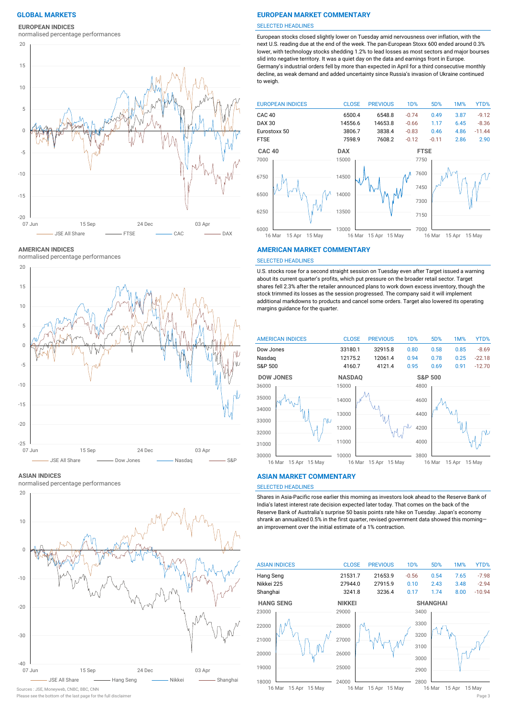### **EUROPEAN INDICES**

normalised percentage performances



**AMERICAN INDICES**

normalised percentage performances



**ASIAN INDICES**

normalised percentage performances



Sources : JSE, Moneyweb, CNBC, BBC, CNN

### **GLOBAL MARKETS EUROPEAN MARKET COMMENTARY**

#### SELECTED HEADLINES

European stocks closed slightly lower on Tuesday amid nervousness over inflation, with the next U.S. reading due at the end of the week. The pan-European Stoxx 600 ended around 0.3% lower, with technology stocks shedding 1.2% to lead losses as most sectors and major bourses slid into negative territory. It was a quiet day on the data and earnings front in Europe. Germany's industrial orders fell by more than expected in April for a third consecutive monthly decline, as weak demand and added uncertainty since Russia's invasion of Ukraine continued to weigh.



#### **AMERICAN MARKET COMMENTARY**

#### SELECTED HEADLINES

U.S. stocks rose for a second straight session on Tuesday even after Target issued a warning about its current quarter's profits, which put pressure on the broader retail sector. Target shares fell 2.3% after the retailer announced plans to work down excess inventory, though the stock trimmed its losses as the session progressed. The company said it will implement additional markdowns to products and cancel some orders. Target also lowered its operating margins guidance for the quarter.



#### **ASIAN MARKET COMMENTARY**

### SELECTED HEADLINES

Shares in Asia-Pacific rose earlier this morning as investors look ahead to the Reserve Bank of India's latest interest rate decision expected later today. That comes on the back of the Reserve Bank of Australia's surprise 50 basis points rate hike on Tuesday. Japan's economy shrank an annualized 0.5% in the first quarter, revised government data showed this morning an improvement over the initial estimate of a 1% contraction.